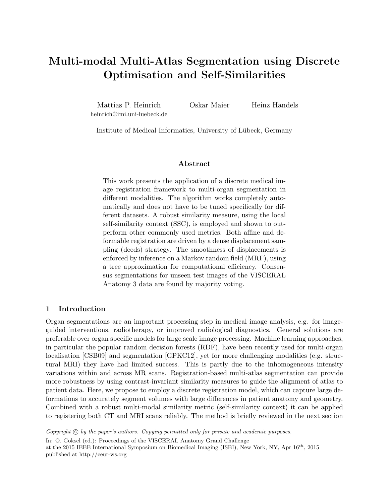# Multi-modal Multi-Atlas Segmentation using Discrete Optimisation and Self-Similarities

Mattias P. Heinrich heinrich@imi.uni-luebeck.de Oskar Maier Heinz Handels

Institute of Medical Informatics, University of Lübeck, Germany

#### Abstract

This work presents the application of a discrete medical image registration framework to multi-organ segmentation in different modalities. The algorithm works completely automatically and does not have to be tuned specifically for different datasets. A robust similarity measure, using the local self-similarity context (SSC), is employed and shown to outperform other commonly used metrics. Both affine and deformable registration are driven by a dense displacement sampling (deeds) strategy. The smoothness of displacements is enforced by inference on a Markov random field (MRF), using a tree approximation for computational efficiency. Consensus segmentations for unseen test images of the VISCERAL Anatomy 3 data are found by majority voting.

## 1 Introduction

Organ segmentations are an important processing step in medical image analysis, e.g. for imageguided interventions, radiotherapy, or improved radiological diagnostics. General solutions are preferable over organ specific models for large scale image processing. Machine learning approaches, in particular the popular random decision forests (RDF), have been recently used for multi-organ localisation [CSB09] and segmentation [GPKC12], yet for more challenging modalities (e.g. structural MRI) they have had limited success. This is partly due to the inhomogeneous intensity variations within and across MR scans. Registration-based multi-atlas segmentation can provide more robustness by using contrast-invariant similarity measures to guide the alignment of atlas to patient data. Here, we propose to employ a discrete registration model, which can capture large deformations to accurately segment volumes with large differences in patient anatomy and geometry. Combined with a robust multi-modal similarity metric (self-similarity context) it can be applied to registering both CT and MRI scans reliably. The method is briefly reviewed in the next section

Copyright  $\odot$  by the paper's authors. Copying permitted only for private and academic purposes.

In: O. Goksel (ed.): Proceedings of the VISCERAL Anatomy Grand Challenge

at the 2015 IEEE International Symposium on Biomedical Imaging (ISBI), New York, NY, Apr  $16^{th}$ , 2015 published at http://ceur-ws.org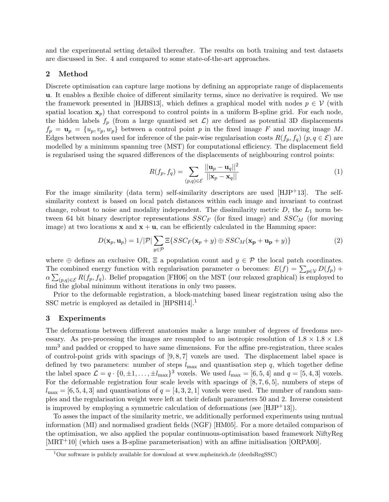and the experimental setting detailed thereafter. The results on both training and test datasets are discussed in Sec. 4 and compared to some state-of-the-art approaches.

### 2 Method

Discrete optimisation can capture large motions by defining an appropriate range of displacements u. It enables a flexible choice of different similarity terms, since no derivative is required. We use the framework presented in [HJBS13], which defines a graphical model with nodes  $p \in V$  (with spatial location  $\mathbf{x}_p$ ) that correspond to control points in a uniform B-spline grid. For each node, the hidden labels  $f_p$  (from a large quantised set  $\mathcal{L}$ ) are defined as potential 3D displacements  $f_p = \mathbf{u}_p = \{u_p, v_p, w_p\}$  between a control point p in the fixed image F and moving image M. Edges between nodes used for inference of the pair-wise regularisation costs  $R(f_p, f_q)$   $(p, q \in \mathcal{E})$  are modelled by a minimum spanning tree (MST) for computational efficiency. The displacement field is regularised using the squared differences of the displacements of neighbouring control points:

$$
R(f_p, f_q) = \sum_{(p,q)\in\mathcal{E}} \frac{||\mathbf{u}_p - \mathbf{u}_q||^2}{||\mathbf{x}_p - \mathbf{x}_q||} \tag{1}
$$

For the image similarity (data term) self-similarity descriptors are used [HJP+13]. The selfsimilarity context is based on local patch distances within each image and invariant to contrast change, robust to noise and modality independent. The dissimilarity metric  $D$ , the  $L_1$  norm between 64 bit binary descriptor representations  $SSC_F$  (for fixed image) and  $SSC_M$  (for moving image) at two locations  $x$  and  $x + u$ , can be efficiently calculated in the Hamming space:

$$
D(\mathbf{x}_p, \mathbf{u}_p) = 1/|\mathcal{P}| \sum_{y \in \mathcal{P}} \Xi \{SSC_F(\mathbf{x}_p + y) \oplus SSC_M(\mathbf{x}_p + \mathbf{u}_p + y)\}
$$
(2)

where  $\oplus$  defines an exclusive OR,  $\Xi$  a population count and  $y \in \mathcal{P}$  the local patch coordinates. The combined energy function with regularisation parameter  $\alpha$  becomes:  $E(f) = \sum_{p \in \mathcal{V}} D(f_p)$  +  $\alpha \sum_{(p,q)\in\mathcal{E}} R(f_p, f_q)$ . Belief propagation [FH06] on the MST (our relaxed graphical) is employed to find the global minimum without iterations in only two passes.

Prior to the deformable registration, a block-matching based linear registration using also the SSC metric is employed as detailed in [HPSH14].<sup>1</sup>

#### 3 Experiments

The deformations between different anatomies make a large number of degrees of freedoms necessary. As pre-processing the images are resampled to an isotropic resolution of  $1.8 \times 1.8 \times 1.8$ mm<sup>3</sup> and padded or cropped to have same dimensions. For the affine pre-registration, three scales of control-point grids with spacings of [9, 8, 7] voxels are used. The displacement label space is defined by two parameters: number of steps  $l_{\text{max}}$  and quantisation step q, which together define the label space  $\mathcal{L} = q \cdot \{0, \pm 1, \dots, \pm l_{\text{max}}\}^3$  voxels. We used  $l_{\text{max}} = [6, 5, 4]$  and  $q = [5, 4, 3]$  voxels. For the deformable registration four scale levels with spacings of  $[8, 7, 6, 5]$ , numbers of steps of  $l_{\text{max}} = [6, 5, 4, 3]$  and quantisations of  $q = [4, 3, 2, 1]$  voxels were used. The number of random samples and the regularisation weight were left at their default parameters 50 and 2. Inverse consistent is improved by employing a symmetric calculation of deformations (see  $[HJP+13]$ ).

To asses the impact of the similarity metric, we additionally performed experiments using mutual information (MI) and normalised gradient fields (NGF) [HM05]. For a more detailed comparison of the optimisation, we also applied the popular continuous-optimisation based framework NiftyReg [MRT+10] (which uses a B-spline parameterisation) with an affine initialisation [ORPA00].

 $1$ Our software is publicly available for download at www.mpheinrich.de (deedsRegSSC)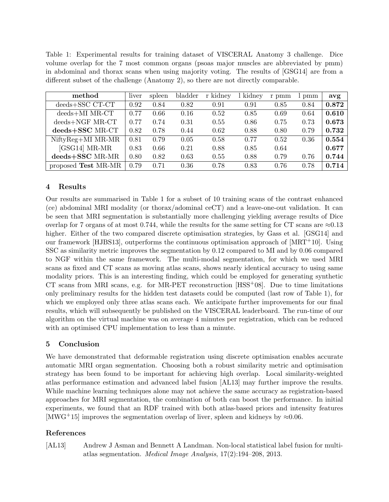Table 1: Experimental results for training dataset of VISCERAL Anatomy 3 challenge. Dice volume overlap for the 7 most common organs (psoas major muscles are abbreviated by pmm) in abdominal and thorax scans when using majority voting. The results of [GSG14] are from a different subset of the challenge (Anatomy 2), so there are not directly comparable.

| method                | liver | spleen | bladder | r kidney | kidney | r pmm | pmm  | avg   |
|-----------------------|-------|--------|---------|----------|--------|-------|------|-------|
| $deeds + SSC$ $CT-CT$ | 0.92  | 0.84   | 0.82    | 0.91     | 0.91   | 0.85  | 0.84 | 0.872 |
| $deeds+MIMR-CT$       | 0.77  | 0.66   | 0.16    | 0.52     | 0.85   | 0.69  | 0.64 | 0.610 |
| $deeds+NGF$ MR-CT     | 0.77  | 0.74   | 0.31    | 0.55     | 0.86   | 0.75  | 0.73 | 0.673 |
| deeds+SSC MR-CT       | 0.82  | 0.78   | 0.44    | 0.62     | 0.88   | 0.80  | 0.79 | 0.732 |
| NiftyReg+MI MR-MR     | 0.81  | 0.79   | 0.05    | 0.58     | 0.77   | 0.52  | 0.36 | 0.554 |
| $[GSG14] MR-MR$       | 0.83  | 0.66   | 0.21    | 0.88     | 0.85   | 0.64  |      | 0.677 |
| deeds+SSC MR-MR       | 0.80  | 0.82   | 0.63    | 0.55     | 0.88   | 0.79  | 0.76 | 0.744 |
| proposed Test MR-MR   | 0.79  | 0.71   | 0.36    | 0.78     | 0.83   | 0.76  | 0.78 | 0.714 |

## 4 Results

Our results are summarised in Table 1 for a subset of 10 training scans of the contrast enhanced (ce) abdominal MRI modality (or thorax/adominal ceCT) and a leave-one-out validation. It can be seen that MRI segmentation is substantially more challenging yielding average results of Dice overlap for 7 organs of at most 0.744, while the results for the same setting for CT scans are  $\approx 0.13$ higher. Either of the two compared discrete optimisation strategies, by Gass et al. [GSG14] and our framework [HJBS13], outperforms the continuous optimisation approach of [MRT+10]. Using SSC as similarity metric improves the segmentation by 0.12 compared to MI and by 0.06 compared to NGF within the same framework. The multi-modal segmentation, for which we used MRI scans as fixed and CT scans as moving atlas scans, shows nearly identical accuracy to using same modality priors. This is an interesting finding, which could be employed for generating synthetic CT scans from MRI scans, e.g. for MR-PET reconstruction  $[{\rm HSS}^+08]$ . Due to time limitations only preliminary results for the hidden test datasets could be computed (last row of Table 1), for which we employed only three atlas scans each. We anticipate further improvements for our final results, which will subsequently be published on the VISCERAL leaderboard. The run-time of our algorithm on the virtual machine was on average 4 minutes per registration, which can be reduced with an optimised CPU implementation to less than a minute.

## 5 Conclusion

We have demonstrated that deformable registration using discrete optimisation enables accurate automatic MRI organ segmentation. Choosing both a robust similarity metric and optimisation strategy has been found to be important for achieving high overlap. Local similarity-weighted atlas performance estimation and advanced label fusion [AL13] may further improve the results. While machine learning techniques alone may not achieve the same accuracy as registration-based approaches for MRI segmentation, the combination of both can boost the performance. In initial experiments, we found that an RDF trained with both atlas-based priors and intensity features [MWG<sup>+</sup>15] improves the segmentation overlap of liver, spleen and kidneys by  $\approx 0.06$ .

## References

[AL13] Andrew J Asman and Bennett A Landman. Non-local statistical label fusion for multiatlas segmentation. Medical Image Analysis, 17(2):194–208, 2013.